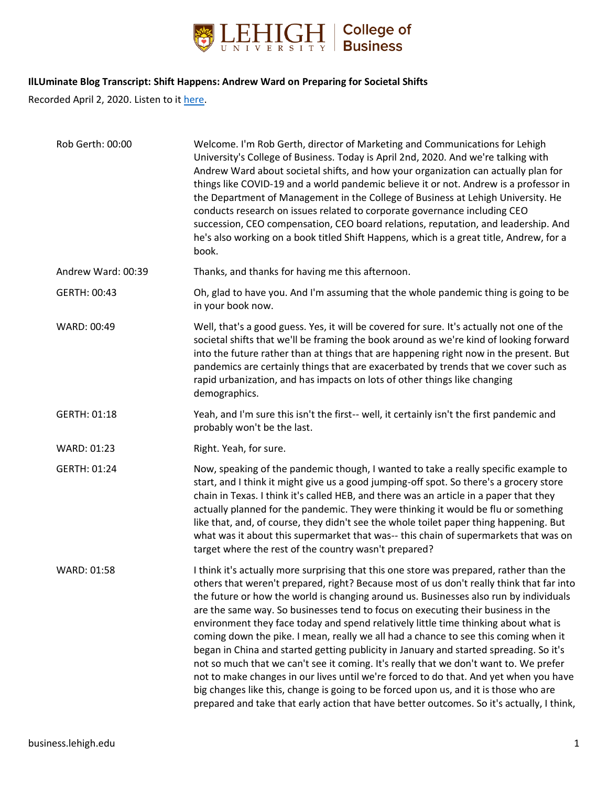

#### **IlLUminate Blog Transcript: Shift Happens: Andrew Ward on Preparing for Societal Shifts**

Recorded April 2, 2020. Listen to it [here.](https://business.lehigh.edu/blog/2020/shift-happens-andrew-ward-preparing-societal-shifts)

| Rob Gerth: 00:00   | Welcome. I'm Rob Gerth, director of Marketing and Communications for Lehigh<br>University's College of Business. Today is April 2nd, 2020. And we're talking with<br>Andrew Ward about societal shifts, and how your organization can actually plan for<br>things like COVID-19 and a world pandemic believe it or not. Andrew is a professor in<br>the Department of Management in the College of Business at Lehigh University. He<br>conducts research on issues related to corporate governance including CEO<br>succession, CEO compensation, CEO board relations, reputation, and leadership. And<br>he's also working on a book titled Shift Happens, which is a great title, Andrew, for a<br>book.                                                                                                                                                                                                                                                                                                     |
|--------------------|-----------------------------------------------------------------------------------------------------------------------------------------------------------------------------------------------------------------------------------------------------------------------------------------------------------------------------------------------------------------------------------------------------------------------------------------------------------------------------------------------------------------------------------------------------------------------------------------------------------------------------------------------------------------------------------------------------------------------------------------------------------------------------------------------------------------------------------------------------------------------------------------------------------------------------------------------------------------------------------------------------------------|
| Andrew Ward: 00:39 | Thanks, and thanks for having me this afternoon.                                                                                                                                                                                                                                                                                                                                                                                                                                                                                                                                                                                                                                                                                                                                                                                                                                                                                                                                                                |
| GERTH: 00:43       | Oh, glad to have you. And I'm assuming that the whole pandemic thing is going to be<br>in your book now.                                                                                                                                                                                                                                                                                                                                                                                                                                                                                                                                                                                                                                                                                                                                                                                                                                                                                                        |
| WARD: 00:49        | Well, that's a good guess. Yes, it will be covered for sure. It's actually not one of the<br>societal shifts that we'll be framing the book around as we're kind of looking forward<br>into the future rather than at things that are happening right now in the present. But<br>pandemics are certainly things that are exacerbated by trends that we cover such as<br>rapid urbanization, and has impacts on lots of other things like changing<br>demographics.                                                                                                                                                                                                                                                                                                                                                                                                                                                                                                                                              |
| GERTH: 01:18       | Yeah, and I'm sure this isn't the first-- well, it certainly isn't the first pandemic and<br>probably won't be the last.                                                                                                                                                                                                                                                                                                                                                                                                                                                                                                                                                                                                                                                                                                                                                                                                                                                                                        |
| WARD: 01:23        | Right. Yeah, for sure.                                                                                                                                                                                                                                                                                                                                                                                                                                                                                                                                                                                                                                                                                                                                                                                                                                                                                                                                                                                          |
| GERTH: 01:24       | Now, speaking of the pandemic though, I wanted to take a really specific example to<br>start, and I think it might give us a good jumping-off spot. So there's a grocery store<br>chain in Texas. I think it's called HEB, and there was an article in a paper that they<br>actually planned for the pandemic. They were thinking it would be flu or something<br>like that, and, of course, they didn't see the whole toilet paper thing happening. But<br>what was it about this supermarket that was-- this chain of supermarkets that was on<br>target where the rest of the country wasn't prepared?                                                                                                                                                                                                                                                                                                                                                                                                       |
| WARD: 01:58        | I think it's actually more surprising that this one store was prepared, rather than the<br>others that weren't prepared, right? Because most of us don't really think that far into<br>the future or how the world is changing around us. Businesses also run by individuals<br>are the same way. So businesses tend to focus on executing their business in the<br>environment they face today and spend relatively little time thinking about what is<br>coming down the pike. I mean, really we all had a chance to see this coming when it<br>began in China and started getting publicity in January and started spreading. So it's<br>not so much that we can't see it coming. It's really that we don't want to. We prefer<br>not to make changes in our lives until we're forced to do that. And yet when you have<br>big changes like this, change is going to be forced upon us, and it is those who are<br>prepared and take that early action that have better outcomes. So it's actually, I think, |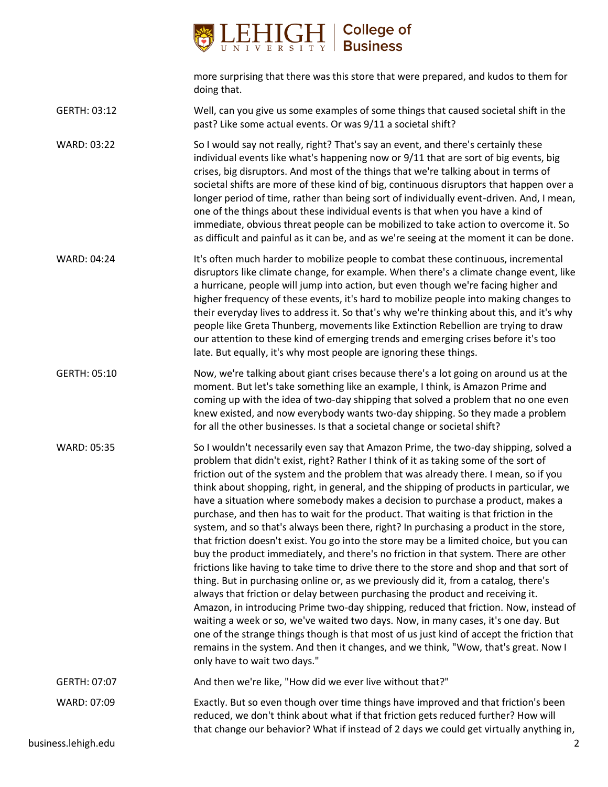

more surprising that there was this store that were prepared, and kudos to them for doing that.

GERTH: 03:12 Well, can you give us some examples of some things that caused societal shift in the past? Like some actual events. Or was 9/11 a societal shift?

WARD: 03:22 So I would say not really, right? That's say an event, and there's certainly these individual events like what's happening now or 9/11 that are sort of big events, big crises, big disruptors. And most of the things that we're talking about in terms of societal shifts are more of these kind of big, continuous disruptors that happen over a longer period of time, rather than being sort of individually event-driven. And, I mean, one of the things about these individual events is that when you have a kind of immediate, obvious threat people can be mobilized to take action to overcome it. So as difficult and painful as it can be, and as we're seeing at the moment it can be done.

WARD: 04:24 It's often much harder to mobilize people to combat these continuous, incremental disruptors like climate change, for example. When there's a climate change event, like a hurricane, people will jump into action, but even though we're facing higher and higher frequency of these events, it's hard to mobilize people into making changes to their everyday lives to address it. So that's why we're thinking about this, and it's why people like Greta Thunberg, movements like Extinction Rebellion are trying to draw our attention to these kind of emerging trends and emerging crises before it's too late. But equally, it's why most people are ignoring these things.

GERTH: 05:10 Now, we're talking about giant crises because there's a lot going on around us at the moment. But let's take something like an example, I think, is Amazon Prime and coming up with the idea of two-day shipping that solved a problem that no one even knew existed, and now everybody wants two-day shipping. So they made a problem for all the other businesses. Is that a societal change or societal shift?

WARD: 05:35 So I wouldn't necessarily even say that Amazon Prime, the two-day shipping, solved a problem that didn't exist, right? Rather I think of it as taking some of the sort of friction out of the system and the problem that was already there. I mean, so if you think about shopping, right, in general, and the shipping of products in particular, we have a situation where somebody makes a decision to purchase a product, makes a purchase, and then has to wait for the product. That waiting is that friction in the system, and so that's always been there, right? In purchasing a product in the store, that friction doesn't exist. You go into the store may be a limited choice, but you can buy the product immediately, and there's no friction in that system. There are other frictions like having to take time to drive there to the store and shop and that sort of thing. But in purchasing online or, as we previously did it, from a catalog, there's always that friction or delay between purchasing the product and receiving it. Amazon, in introducing Prime two-day shipping, reduced that friction. Now, instead of waiting a week or so, we've waited two days. Now, in many cases, it's one day. But one of the strange things though is that most of us just kind of accept the friction that remains in the system. And then it changes, and we think, "Wow, that's great. Now I only have to wait two days."

GERTH: 07:07 And then we're like, "How did we ever live without that?"

WARD: 07:09 Exactly. But so even though over time things have improved and that friction's been

reduced, we don't think about what if that friction gets reduced further? How will that change our behavior? What if instead of 2 days we could get virtually anything in,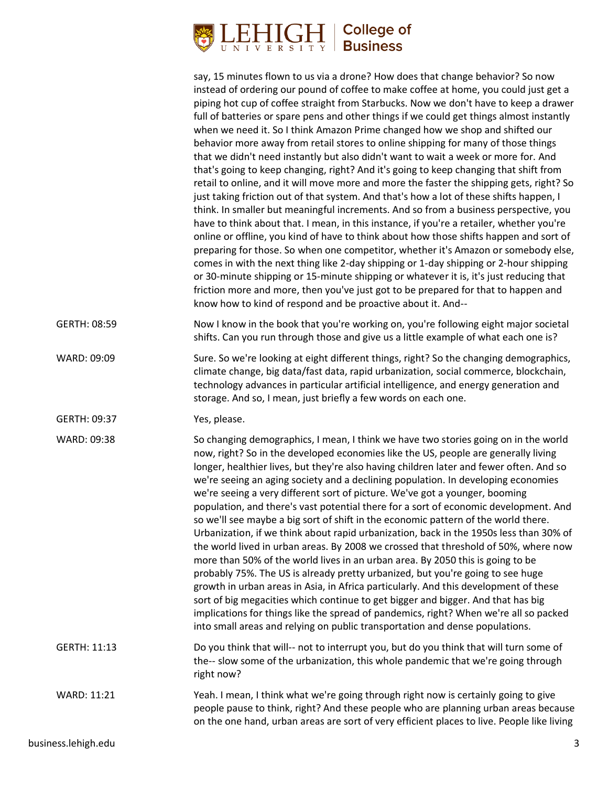## **College of Business**

say, 15 minutes flown to us via a drone? How does that change behavior? So now instead of ordering our pound of coffee to make coffee at home, you could just get a piping hot cup of coffee straight from Starbucks. Now we don't have to keep a drawer full of batteries or spare pens and other things if we could get things almost instantly when we need it. So I think Amazon Prime changed how we shop and shifted our behavior more away from retail stores to online shipping for many of those things that we didn't need instantly but also didn't want to wait a week or more for. And that's going to keep changing, right? And it's going to keep changing that shift from retail to online, and it will move more and more the faster the shipping gets, right? So just taking friction out of that system. And that's how a lot of these shifts happen, I think. In smaller but meaningful increments. And so from a business perspective, you have to think about that. I mean, in this instance, if you're a retailer, whether you're online or offline, you kind of have to think about how those shifts happen and sort of preparing for those. So when one competitor, whether it's Amazon or somebody else, comes in with the next thing like 2-day shipping or 1-day shipping or 2-hour shipping or 30-minute shipping or 15-minute shipping or whatever it is, it's just reducing that friction more and more, then you've just got to be prepared for that to happen and know how to kind of respond and be proactive about it. And--

GERTH: 08:59 Now I know in the book that you're working on, you're following eight major societal shifts. Can you run through those and give us a little example of what each one is?

WARD: 09:09 Sure. So we're looking at eight different things, right? So the changing demographics, climate change, big data/fast data, rapid urbanization, social commerce, blockchain, technology advances in particular artificial intelligence, and energy generation and storage. And so, I mean, just briefly a few words on each one.

GERTH: 09:37 Yes, please.

WARD: 09:38 So changing demographics, I mean, I think we have two stories going on in the world now, right? So in the developed economies like the US, people are generally living longer, healthier lives, but they're also having children later and fewer often. And so we're seeing an aging society and a declining population. In developing economies we're seeing a very different sort of picture. We've got a younger, booming population, and there's vast potential there for a sort of economic development. And so we'll see maybe a big sort of shift in the economic pattern of the world there. Urbanization, if we think about rapid urbanization, back in the 1950s less than 30% of the world lived in urban areas. By 2008 we crossed that threshold of 50%, where now more than 50% of the world lives in an urban area. By 2050 this is going to be probably 75%. The US is already pretty urbanized, but you're going to see huge growth in urban areas in Asia, in Africa particularly. And this development of these sort of big megacities which continue to get bigger and bigger. And that has big implications for things like the spread of pandemics, right? When we're all so packed into small areas and relying on public transportation and dense populations. GERTH: 11:13 Do you think that will-- not to interrupt you, but do you think that will turn some of the-- slow some of the urbanization, this whole pandemic that we're going through

WARD: 11:21 Yeah. I mean, I think what we're going through right now is certainly going to give people pause to think, right? And these people who are planning urban areas because on the one hand, urban areas are sort of very efficient places to live. People like living

right now?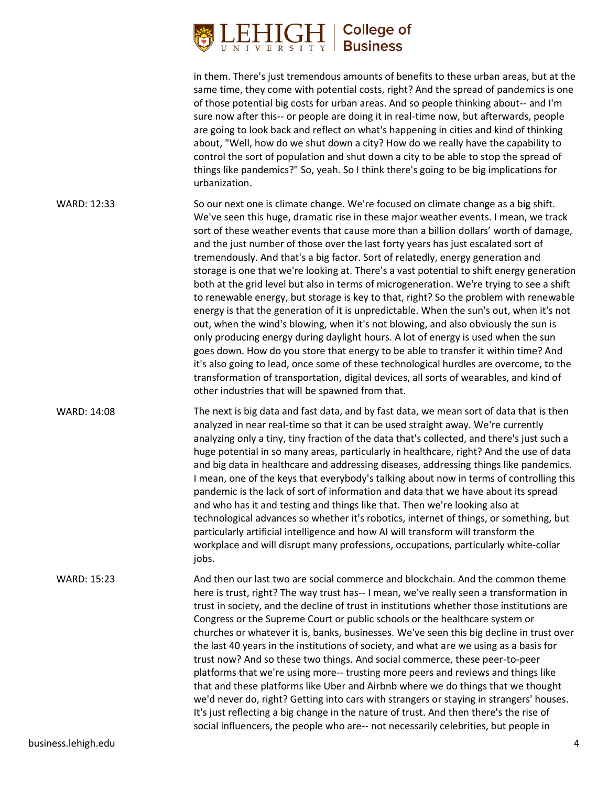### **College of Business**

other industries that will be spawned from that.

in them. There's just tremendous amounts of benefits to these urban areas, but at the same time, they come with potential costs, right? And the spread of pandemics is one of those potential big costs for urban areas. And so people thinking about-- and I'm sure now after this-- or people are doing it in real-time now, but afterwards, people are going to look back and reflect on what's happening in cities and kind of thinking about, "Well, how do we shut down a city? How do we really have the capability to control the sort of population and shut down a city to be able to stop the spread of things like pandemics?" So, yeah. So I think there's going to be big implications for urbanization. WARD: 12:33 So our next one is climate change. We're focused on climate change as a big shift. We've seen this huge, dramatic rise in these major weather events. I mean, we track sort of these weather events that cause more than a billion dollars' worth of damage, and the just number of those over the last forty years has just escalated sort of tremendously. And that's a big factor. Sort of relatedly, energy generation and storage is one that we're looking at. There's a vast potential to shift energy generation both at the grid level but also in terms of microgeneration. We're trying to see a shift to renewable energy, but storage is key to that, right? So the problem with renewable energy is that the generation of it is unpredictable. When the sun's out, when it's not out, when the wind's blowing, when it's not blowing, and also obviously the sun is only producing energy during daylight hours. A lot of energy is used when the sun

WARD: 14:08 The next is big data and fast data, and by fast data, we mean sort of data that is then analyzed in near real-time so that it can be used straight away. We're currently analyzing only a tiny, tiny fraction of the data that's collected, and there's just such a huge potential in so many areas, particularly in healthcare, right? And the use of data and big data in healthcare and addressing diseases, addressing things like pandemics. I mean, one of the keys that everybody's talking about now in terms of controlling this pandemic is the lack of sort of information and data that we have about its spread and who has it and testing and things like that. Then we're looking also at technological advances so whether it's robotics, internet of things, or something, but particularly artificial intelligence and how AI will transform will transform the workplace and will disrupt many professions, occupations, particularly white-collar jobs.

goes down. How do you store that energy to be able to transfer it within time? And it's also going to lead, once some of these technological hurdles are overcome, to the transformation of transportation, digital devices, all sorts of wearables, and kind of

WARD: 15:23 And then our last two are social commerce and blockchain. And the common theme here is trust, right? The way trust has-- I mean, we've really seen a transformation in trust in society, and the decline of trust in institutions whether those institutions are Congress or the Supreme Court or public schools or the healthcare system or churches or whatever it is, banks, businesses. We've seen this big decline in trust over the last 40 years in the institutions of society, and what are we using as a basis for trust now? And so these two things. And social commerce, these peer-to-peer platforms that we're using more-- trusting more peers and reviews and things like that and these platforms like Uber and Airbnb where we do things that we thought we'd never do, right? Getting into cars with strangers or staying in strangers' houses. It's just reflecting a big change in the nature of trust. And then there's the rise of social influencers, the people who are-- not necessarily celebrities, but people in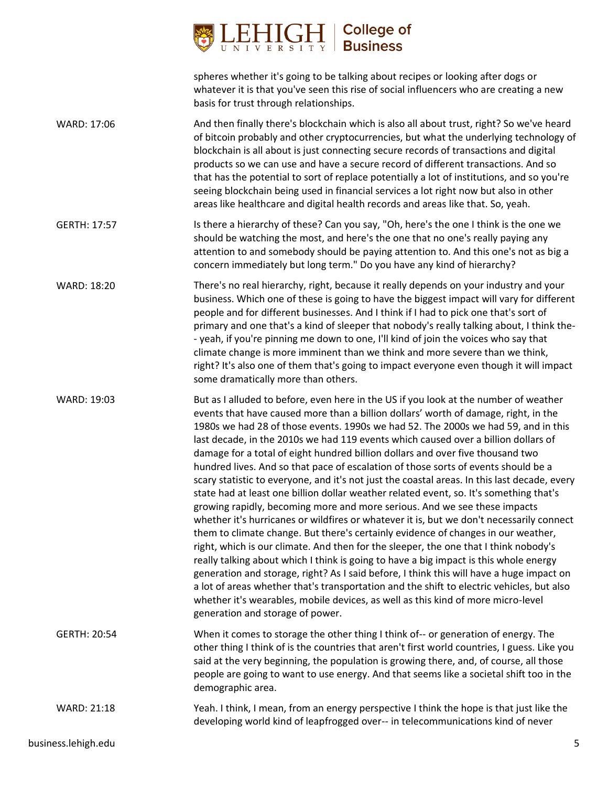

| spheres whether it's going to be talking about recipes or looking after dogs or        |
|----------------------------------------------------------------------------------------|
| whatever it is that you've seen this rise of social influencers who are creating a new |
| basis for trust through relationships.                                                 |

| WARD: 17:06 | And then finally there's blockchain which is also all about trust, right? So we've heard   |
|-------------|--------------------------------------------------------------------------------------------|
|             | of bitcoin probably and other cryptocurrencies, but what the underlying technology of      |
|             | blockchain is all about is just connecting secure records of transactions and digital      |
|             | products so we can use and have a secure record of different transactions. And so          |
|             | that has the potential to sort of replace potentially a lot of institutions, and so you're |
|             | seeing blockchain being used in financial services a lot right now but also in other       |
|             | areas like healthcare and digital health records and areas like that. So, yeah.            |

- GERTH: 17:57 Is there a hierarchy of these? Can you say, "Oh, here's the one I think is the one we should be watching the most, and here's the one that no one's really paying any attention to and somebody should be paying attention to. And this one's not as big a concern immediately but long term." Do you have any kind of hierarchy?
- WARD: 18:20 There's no real hierarchy, right, because it really depends on your industry and your business. Which one of these is going to have the biggest impact will vary for different people and for different businesses. And I think if I had to pick one that's sort of primary and one that's a kind of sleeper that nobody's really talking about, I think the- - yeah, if you're pinning me down to one, I'll kind of join the voices who say that climate change is more imminent than we think and more severe than we think, right? It's also one of them that's going to impact everyone even though it will impact some dramatically more than others.
- WARD: 19:03 But as I alluded to before, even here in the US if you look at the number of weather events that have caused more than a billion dollars' worth of damage, right, in the 1980s we had 28 of those events. 1990s we had 52. The 2000s we had 59, and in this last decade, in the 2010s we had 119 events which caused over a billion dollars of damage for a total of eight hundred billion dollars and over five thousand two hundred lives. And so that pace of escalation of those sorts of events should be a scary statistic to everyone, and it's not just the coastal areas. In this last decade, every state had at least one billion dollar weather related event, so. It's something that's growing rapidly, becoming more and more serious. And we see these impacts whether it's hurricanes or wildfires or whatever it is, but we don't necessarily connect them to climate change. But there's certainly evidence of changes in our weather, right, which is our climate. And then for the sleeper, the one that I think nobody's really talking about which I think is going to have a big impact is this whole energy generation and storage, right? As I said before, I think this will have a huge impact on a lot of areas whether that's transportation and the shift to electric vehicles, but also whether it's wearables, mobile devices, as well as this kind of more micro-level generation and storage of power.
- GERTH: 20:54 When it comes to storage the other thing I think of-- or generation of energy. The other thing I think of is the countries that aren't first world countries, I guess. Like you said at the very beginning, the population is growing there, and, of course, all those people are going to want to use energy. And that seems like a societal shift too in the demographic area.

WARD: 21:18 Yeah. I think, I mean, from an energy perspective I think the hope is that just like the developing world kind of leapfrogged over-- in telecommunications kind of never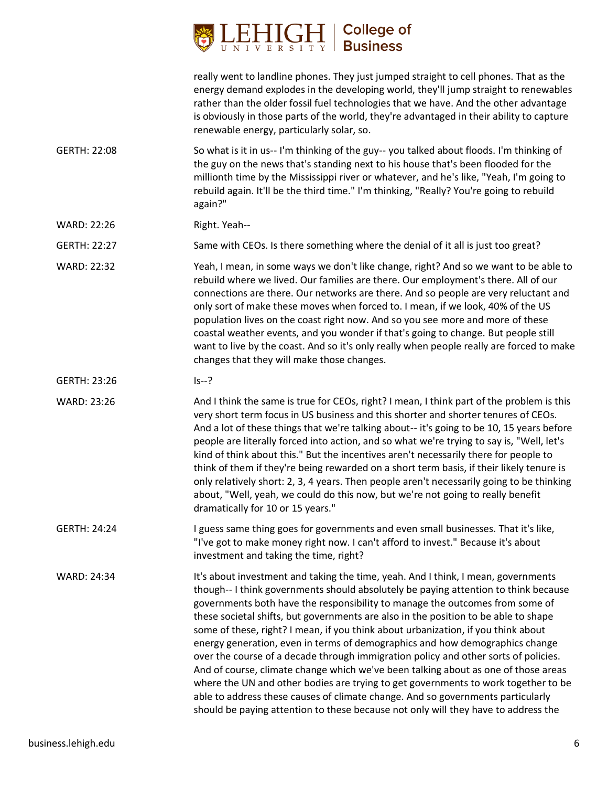

really went to landline phones. They just jumped straight to cell phones. That as the energy demand explodes in the developing world, they'll jump straight to renewables rather than the older fossil fuel technologies that we have. And the other advantage is obviously in those parts of the world, they're advantaged in their ability to capture renewable energy, particularly solar, so.

- GERTH: 22:08 So what is it in us-- I'm thinking of the guy-- you talked about floods. I'm thinking of the guy on the news that's standing next to his house that's been flooded for the millionth time by the Mississippi river or whatever, and he's like, "Yeah, I'm going to rebuild again. It'll be the third time." I'm thinking, "Really? You're going to rebuild again?"
- WARD: 22:26 Right. Yeah--

GERTH: 22:27 Same with CEOs. Is there something where the denial of it all is just too great?

WARD: 22:32 Yeah, I mean, in some ways we don't like change, right? And so we want to be able to rebuild where we lived. Our families are there. Our employment's there. All of our connections are there. Our networks are there. And so people are very reluctant and only sort of make these moves when forced to. I mean, if we look, 40% of the US population lives on the coast right now. And so you see more and more of these coastal weather events, and you wonder if that's going to change. But people still want to live by the coast. And so it's only really when people really are forced to make changes that they will make those changes.

GERTH: 23:26 Is--?

WARD: 23:26 And I think the same is true for CEOs, right? I mean, I think part of the problem is this very short term focus in US business and this shorter and shorter tenures of CEOs. And a lot of these things that we're talking about-- it's going to be 10, 15 years before people are literally forced into action, and so what we're trying to say is, "Well, let's kind of think about this." But the incentives aren't necessarily there for people to think of them if they're being rewarded on a short term basis, if their likely tenure is only relatively short: 2, 3, 4 years. Then people aren't necessarily going to be thinking about, "Well, yeah, we could do this now, but we're not going to really benefit dramatically for 10 or 15 years."

GERTH: 24:24 I guess same thing goes for governments and even small businesses. That it's like, "I've got to make money right now. I can't afford to invest." Because it's about investment and taking the time, right?

WARD: 24:34 It's about investment and taking the time, yeah. And I think, I mean, governments though-- I think governments should absolutely be paying attention to think because governments both have the responsibility to manage the outcomes from some of these societal shifts, but governments are also in the position to be able to shape some of these, right? I mean, if you think about urbanization, if you think about energy generation, even in terms of demographics and how demographics change over the course of a decade through immigration policy and other sorts of policies. And of course, climate change which we've been talking about as one of those areas where the UN and other bodies are trying to get governments to work together to be able to address these causes of climate change. And so governments particularly should be paying attention to these because not only will they have to address the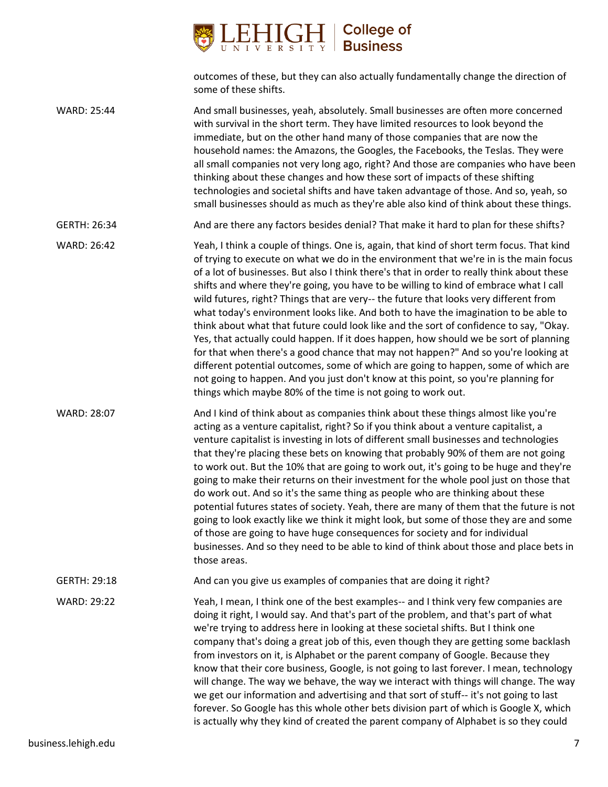

outcomes of these, but they can also actually fundamentally change the direction of some of these shifts.

WARD: 25:44 And small businesses, yeah, absolutely. Small businesses are often more concerned with survival in the short term. They have limited resources to look beyond the immediate, but on the other hand many of those companies that are now the household names: the Amazons, the Googles, the Facebooks, the Teslas. They were all small companies not very long ago, right? And those are companies who have been thinking about these changes and how these sort of impacts of these shifting technologies and societal shifts and have taken advantage of those. And so, yeah, so small businesses should as much as they're able also kind of think about these things.

GERTH: 26:34 And are there any factors besides denial? That make it hard to plan for these shifts?

WARD: 26:42 Yeah, I think a couple of things. One is, again, that kind of short term focus. That kind of trying to execute on what we do in the environment that we're in is the main focus of a lot of businesses. But also I think there's that in order to really think about these shifts and where they're going, you have to be willing to kind of embrace what I call wild futures, right? Things that are very-- the future that looks very different from what today's environment looks like. And both to have the imagination to be able to think about what that future could look like and the sort of confidence to say, "Okay. Yes, that actually could happen. If it does happen, how should we be sort of planning for that when there's a good chance that may not happen?" And so you're looking at different potential outcomes, some of which are going to happen, some of which are not going to happen. And you just don't know at this point, so you're planning for things which maybe 80% of the time is not going to work out.

WARD: 28:07 And I kind of think about as companies think about these things almost like you're acting as a venture capitalist, right? So if you think about a venture capitalist, a venture capitalist is investing in lots of different small businesses and technologies that they're placing these bets on knowing that probably 90% of them are not going to work out. But the 10% that are going to work out, it's going to be huge and they're going to make their returns on their investment for the whole pool just on those that do work out. And so it's the same thing as people who are thinking about these potential futures states of society. Yeah, there are many of them that the future is not going to look exactly like we think it might look, but some of those they are and some of those are going to have huge consequences for society and for individual businesses. And so they need to be able to kind of think about those and place bets in those areas.

GERTH: 29:18 And can you give us examples of companies that are doing it right?

WARD: 29:22 Yeah, I mean, I think one of the best examples-- and I think very few companies are doing it right, I would say. And that's part of the problem, and that's part of what we're trying to address here in looking at these societal shifts. But I think one company that's doing a great job of this, even though they are getting some backlash from investors on it, is Alphabet or the parent company of Google. Because they know that their core business, Google, is not going to last forever. I mean, technology will change. The way we behave, the way we interact with things will change. The way we get our information and advertising and that sort of stuff-- it's not going to last forever. So Google has this whole other bets division part of which is Google X, which is actually why they kind of created the parent company of Alphabet is so they could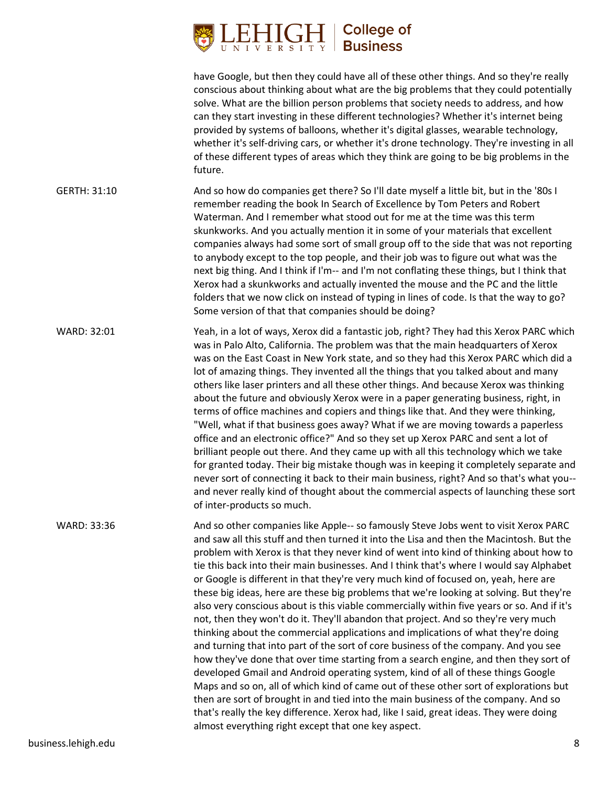### **College of Business**

have Google, but then they could have all of these other things. And so they're really conscious about thinking about what are the big problems that they could potentially solve. What are the billion person problems that society needs to address, and how can they start investing in these different technologies? Whether it's internet being provided by systems of balloons, whether it's digital glasses, wearable technology, whether it's self-driving cars, or whether it's drone technology. They're investing in all of these different types of areas which they think are going to be big problems in the future. GERTH: 31:10 And so how do companies get there? So I'll date myself a little bit, but in the '80s I remember reading the book In Search of Excellence by Tom Peters and Robert Waterman. And I remember what stood out for me at the time was this term skunkworks. And you actually mention it in some of your materials that excellent companies always had some sort of small group off to the side that was not reporting to anybody except to the top people, and their job was to figure out what was the next big thing. And I think if I'm-- and I'm not conflating these things, but I think that Xerox had a skunkworks and actually invented the mouse and the PC and the little folders that we now click on instead of typing in lines of code. Is that the way to go? Some version of that that companies should be doing? WARD: 32:01 Yeah, in a lot of ways, Xerox did a fantastic job, right? They had this Xerox PARC which was in Palo Alto, California. The problem was that the main headquarters of Xerox was on the East Coast in New York state, and so they had this Xerox PARC which did a lot of amazing things. They invented all the things that you talked about and many others like laser printers and all these other things. And because Xerox was thinking about the future and obviously Xerox were in a paper generating business, right, in terms of office machines and copiers and things like that. And they were thinking, "Well, what if that business goes away? What if we are moving towards a paperless office and an electronic office?" And so they set up Xerox PARC and sent a lot of brilliant people out there. And they came up with all this technology which we take for granted today. Their big mistake though was in keeping it completely separate and never sort of connecting it back to their main business, right? And so that's what you- and never really kind of thought about the commercial aspects of launching these sort of inter-products so much. WARD: 33:36 And so other companies like Apple-- so famously Steve Jobs went to visit Xerox PARC and saw all this stuff and then turned it into the Lisa and then the Macintosh. But the problem with Xerox is that they never kind of went into kind of thinking about how to tie this back into their main businesses. And I think that's where I would say Alphabet or Google is different in that they're very much kind of focused on, yeah, here are these big ideas, here are these big problems that we're looking at solving. But they're also very conscious about is this viable commercially within five years or so. And if it's not, then they won't do it. They'll abandon that project. And so they're very much thinking about the commercial applications and implications of what they're doing and turning that into part of the sort of core business of the company. And you see how they've done that over time starting from a search engine, and then they sort of developed Gmail and Android operating system, kind of all of these things Google Maps and so on, all of which kind of came out of these other sort of explorations but then are sort of brought in and tied into the main business of the company. And so that's really the key difference. Xerox had, like I said, great ideas. They were doing almost everything right except that one key aspect.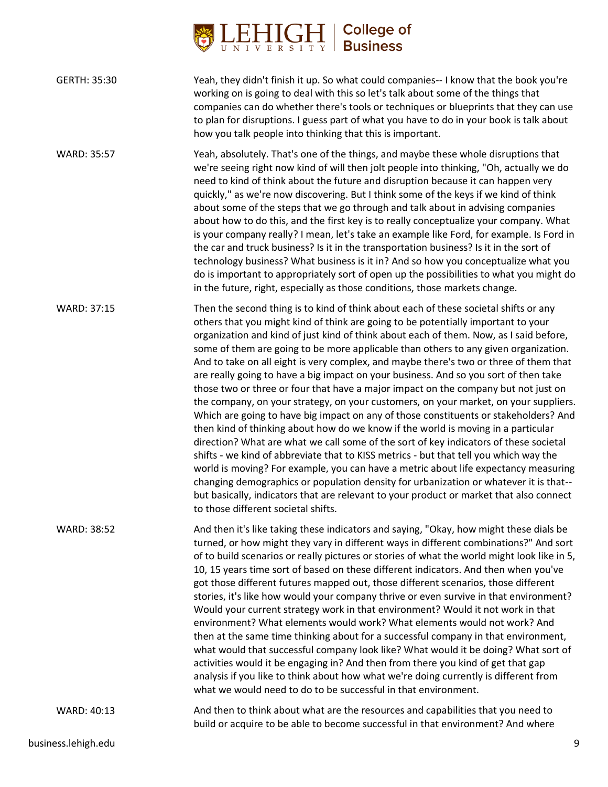

| GERTH: 35:30       | Yeah, they didn't finish it up. So what could companies-- I know that the book you're<br>working on is going to deal with this so let's talk about some of the things that<br>companies can do whether there's tools or techniques or blueprints that they can use<br>to plan for disruptions. I guess part of what you have to do in your book is talk about<br>how you talk people into thinking that this is important. |
|--------------------|----------------------------------------------------------------------------------------------------------------------------------------------------------------------------------------------------------------------------------------------------------------------------------------------------------------------------------------------------------------------------------------------------------------------------|
| <b>WARD: 35:57</b> | Yeah, absolutely. That's one of the things, and maybe these whole disruptions that<br>we're seeing right now kind of will then jolt people into thinking, "Oh, actually we do                                                                                                                                                                                                                                              |

need to kind of think about the future and disruption because it can happen very quickly," as we're now discovering. But I think some of the keys if we kind of think about some of the steps that we go through and talk about in advising companies about how to do this, and the first key is to really conceptualize your company. What is your company really? I mean, let's take an example like Ford, for example. Is Ford in the car and truck business? Is it in the transportation business? Is it in the sort of technology business? What business is it in? And so how you conceptualize what you do is important to appropriately sort of open up the possibilities to what you might do in the future, right, especially as those conditions, those markets change.

WARD: 37:15 Then the second thing is to kind of think about each of these societal shifts or any others that you might kind of think are going to be potentially important to your organization and kind of just kind of think about each of them. Now, as I said before, some of them are going to be more applicable than others to any given organization. And to take on all eight is very complex, and maybe there's two or three of them that are really going to have a big impact on your business. And so you sort of then take those two or three or four that have a major impact on the company but not just on the company, on your strategy, on your customers, on your market, on your suppliers. Which are going to have big impact on any of those constituents or stakeholders? And then kind of thinking about how do we know if the world is moving in a particular direction? What are what we call some of the sort of key indicators of these societal shifts - we kind of abbreviate that to KISS metrics - but that tell you which way the world is moving? For example, you can have a metric about life expectancy measuring changing demographics or population density for urbanization or whatever it is that- but basically, indicators that are relevant to your product or market that also connect to those different societal shifts.

WARD: 38:52 And then it's like taking these indicators and saying, "Okay, how might these dials be turned, or how might they vary in different ways in different combinations?" And sort of to build scenarios or really pictures or stories of what the world might look like in 5, 10, 15 years time sort of based on these different indicators. And then when you've got those different futures mapped out, those different scenarios, those different stories, it's like how would your company thrive or even survive in that environment? Would your current strategy work in that environment? Would it not work in that environment? What elements would work? What elements would not work? And then at the same time thinking about for a successful company in that environment, what would that successful company look like? What would it be doing? What sort of activities would it be engaging in? And then from there you kind of get that gap analysis if you like to think about how what we're doing currently is different from what we would need to do to be successful in that environment.

WARD: 40:13 And then to think about what are the resources and capabilities that you need to build or acquire to be able to become successful in that environment? And where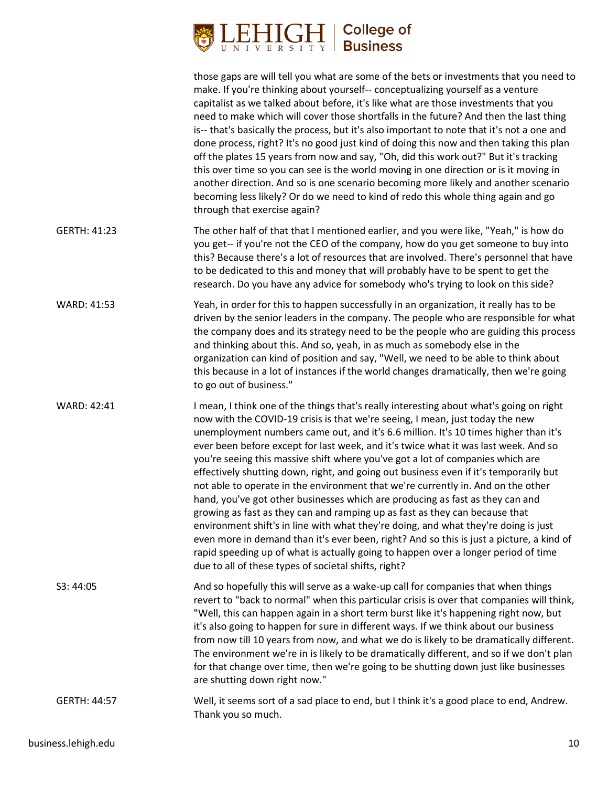# $\underset{\text{U-N I V E R S I T Y }}{\underset{\text{U N I V E R S I T Y }}\prod_{\text{E}}\underset{\text{V}}{\underset{\text{F}}{\bigcup}}\left|\begin{array}{c}\text{College of}\\\text{Business}\end{array}\right.}$

| GERTH: 41:23                              | through that exercise again?                                                                                                                                                                                                                                                                                                                                                                                                                                                                                                                                                                                                                                                                                                                                                                                                                                                                                                                                                                                                                                                                                           |
|-------------------------------------------|------------------------------------------------------------------------------------------------------------------------------------------------------------------------------------------------------------------------------------------------------------------------------------------------------------------------------------------------------------------------------------------------------------------------------------------------------------------------------------------------------------------------------------------------------------------------------------------------------------------------------------------------------------------------------------------------------------------------------------------------------------------------------------------------------------------------------------------------------------------------------------------------------------------------------------------------------------------------------------------------------------------------------------------------------------------------------------------------------------------------|
|                                           | The other half of that that I mentioned earlier, and you were like, "Yeah," is how do<br>you get-- if you're not the CEO of the company, how do you get someone to buy into<br>this? Because there's a lot of resources that are involved. There's personnel that have<br>to be dedicated to this and money that will probably have to be spent to get the<br>research. Do you have any advice for somebody who's trying to look on this side?                                                                                                                                                                                                                                                                                                                                                                                                                                                                                                                                                                                                                                                                         |
| WARD: 41:53                               | Yeah, in order for this to happen successfully in an organization, it really has to be<br>driven by the senior leaders in the company. The people who are responsible for what<br>the company does and its strategy need to be the people who are guiding this process<br>and thinking about this. And so, yeah, in as much as somebody else in the<br>organization can kind of position and say, "Well, we need to be able to think about<br>this because in a lot of instances if the world changes dramatically, then we're going<br>to go out of business."                                                                                                                                                                                                                                                                                                                                                                                                                                                                                                                                                        |
| <b>WARD: 42:41</b>                        | I mean, I think one of the things that's really interesting about what's going on right<br>now with the COVID-19 crisis is that we're seeing, I mean, just today the new<br>unemployment numbers came out, and it's 6.6 million. It's 10 times higher than it's<br>ever been before except for last week, and it's twice what it was last week. And so<br>you're seeing this massive shift where you've got a lot of companies which are<br>effectively shutting down, right, and going out business even if it's temporarily but<br>not able to operate in the environment that we're currently in. And on the other<br>hand, you've got other businesses which are producing as fast as they can and<br>growing as fast as they can and ramping up as fast as they can because that<br>environment shift's in line with what they're doing, and what they're doing is just<br>even more in demand than it's ever been, right? And so this is just a picture, a kind of<br>rapid speeding up of what is actually going to happen over a longer period of time<br>due to all of these types of societal shifts, right? |
| S3: 44:05                                 | And so hopefully this will serve as a wake-up call for companies that when things<br>revert to "back to normal" when this particular crisis is over that companies will think,<br>"Well, this can happen again in a short term burst like it's happening right now, but<br>it's also going to happen for sure in different ways. If we think about our business<br>from now till 10 years from now, and what we do is likely to be dramatically different.<br>The environment we're in is likely to be dramatically different, and so if we don't plan<br>for that change over time, then we're going to be shutting down just like businesses<br>are shutting down right now."                                                                                                                                                                                                                                                                                                                                                                                                                                        |
| <b>GERTH: 44:57</b><br>Thank you so much. | Well, it seems sort of a sad place to end, but I think it's a good place to end, Andrew.                                                                                                                                                                                                                                                                                                                                                                                                                                                                                                                                                                                                                                                                                                                                                                                                                                                                                                                                                                                                                               |